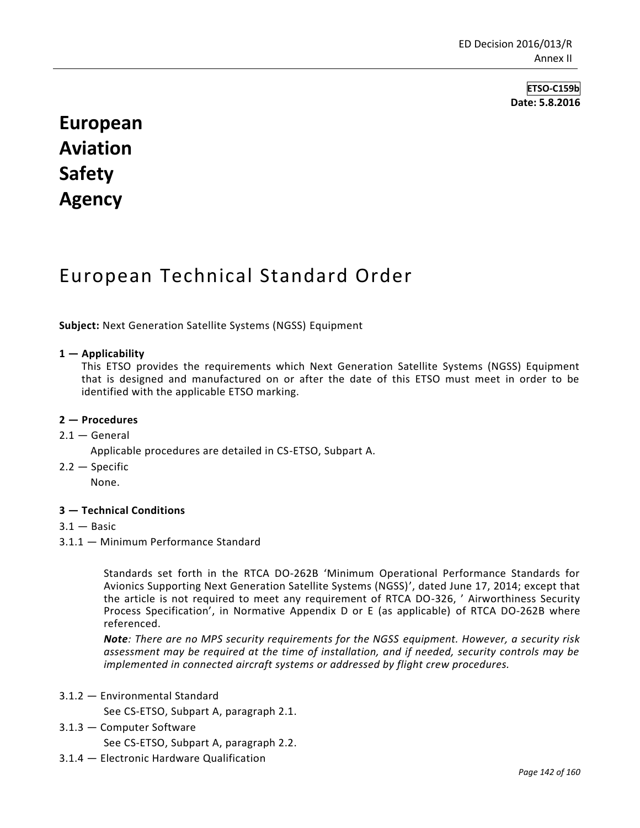**ETSO-C159b Date: 5.8.2016**

# **European Aviation Safety Agency**

# European Technical Standard Order

**Subject:** Next Generation Satellite Systems (NGSS) Equipment

### **1 — Applicability**

This ETSO provides the requirements which Next Generation Satellite Systems (NGSS) Equipment that is designed and manufactured on or after the date of this ETSO must meet in order to be identified with the applicable ETSO marking.

#### **2 — Procedures**

### $2.1 -$  General

Applicable procedures are detailed in CS-ETSO, Subpart A.

2.2 — Specific

None.

#### **3 — Technical Conditions**

- $3.1 -$ Basic
- 3.1.1 Minimum Performance Standard

Standards set forth in the RTCA DO-262B 'Minimum Operational Performance Standards for Avionics Supporting Next Generation Satellite Systems (NGSS)', dated June 17, 2014; except that the article is not required to meet any requirement of RTCA DO-326, ' Airworthiness Security Process Specification', in Normative Appendix D or E (as applicable) of RTCA DO-262B where referenced.

*Note: There are no MPS security requirements for the NGSS equipment. However, a security risk assessment may be required at the time of installation, and if needed, security controls may be implemented in connected aircraft systems or addressed by flight crew procedures.*

3.1.2 — Environmental Standard

See CS-ETSO, Subpart A, paragraph 2.1.

3.1.3 — Computer Software

See CS-ETSO, Subpart A, paragraph 2.2.

3.1.4 — Electronic Hardware Qualification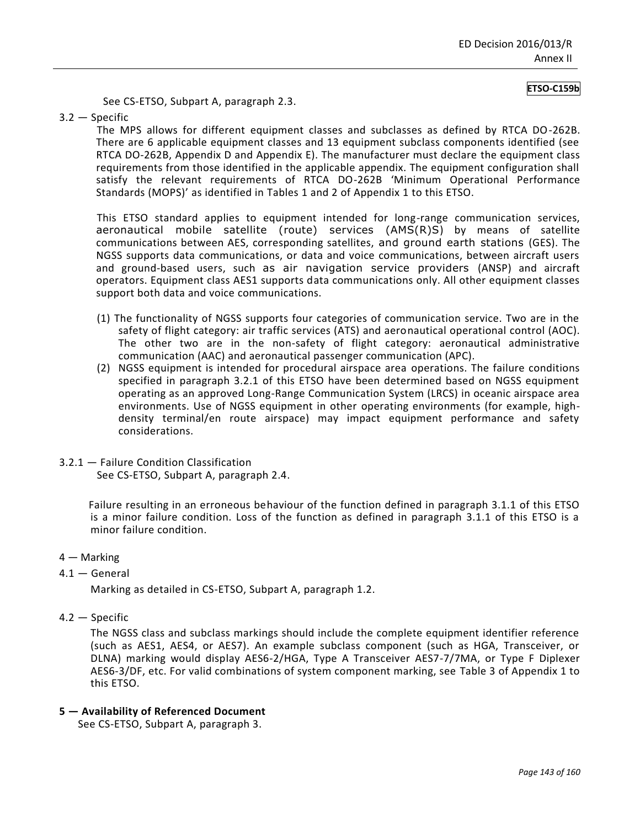#### **ETSO-C159b**

See CS-ETSO, Subpart A, paragraph 2.3.

3.2 — Specific

The MPS allows for different equipment classes and subclasses as defined by RTCA DO-262B. There are 6 applicable equipment classes and 13 equipment subclass components identified (see RTCA DO-262B, Appendix D and Appendix E). The manufacturer must declare the equipment class requirements from those identified in the applicable appendix. The equipment configuration shall satisfy the relevant requirements of RTCA DO-262B 'Minimum Operational Performance Standards (MOPS)' as identified in Tables 1 and 2 of Appendix 1 to this ETSO.

This ETSO standard applies to equipment intended for long-range communication services, aeronautical mobile satellite (route) services (AMS(R)S) by means of satellite communications between AES, corresponding satellites, and ground earth stations (GES). The NGSS supports data communications, or data and voice communications, between aircraft users and ground-based users, such as air navigation service providers (ANSP) and aircraft operators. Equipment class AES1 supports data communications only. All other equipment classes support both data and voice communications.

- (1) The functionality of NGSS supports four categories of communication service. Two are in the safety of flight category: air traffic services (ATS) and aeronautical operational control (AOC). The other two are in the non-safety of flight category: aeronautical administrative communication (AAC) and aeronautical passenger communication (APC).
- (2) NGSS equipment is intended for procedural airspace area operations. The failure conditions specified in paragraph 3.2.1 of this ETSO have been determined based on NGSS equipment operating as an approved Long-Range Communication System (LRCS) in oceanic airspace area environments. Use of NGSS equipment in other operating environments (for example, highdensity terminal/en route airspace) may impact equipment performance and safety considerations.
- 3.2.1 Failure Condition Classification See CS-ETSO, Subpart A, paragraph 2.4.

Failure resulting in an erroneous behaviour of the function defined in paragraph 3.1.1 of this ETSO is a minor failure condition. Loss of the function as defined in paragraph 3.1.1 of this ETSO is a minor failure condition.

- 4 Marking
- 4.1 General

Marking as detailed in CS-ETSO, Subpart A, paragraph 1.2.

4.2 — Specific

The NGSS class and subclass markings should include the complete equipment identifier reference (such as AES1, AES4, or AES7). An example subclass component (such as HGA, Transceiver, or DLNA) marking would display AES6-2/HGA, Type A Transceiver AES7-7/7MA, or Type F Diplexer AES6-3/DF, etc. For valid combinations of system component marking, see Table 3 of Appendix 1 to this ETSO.

#### **5 — Availability of Referenced Document**

See CS-ETSO, Subpart A, paragraph 3.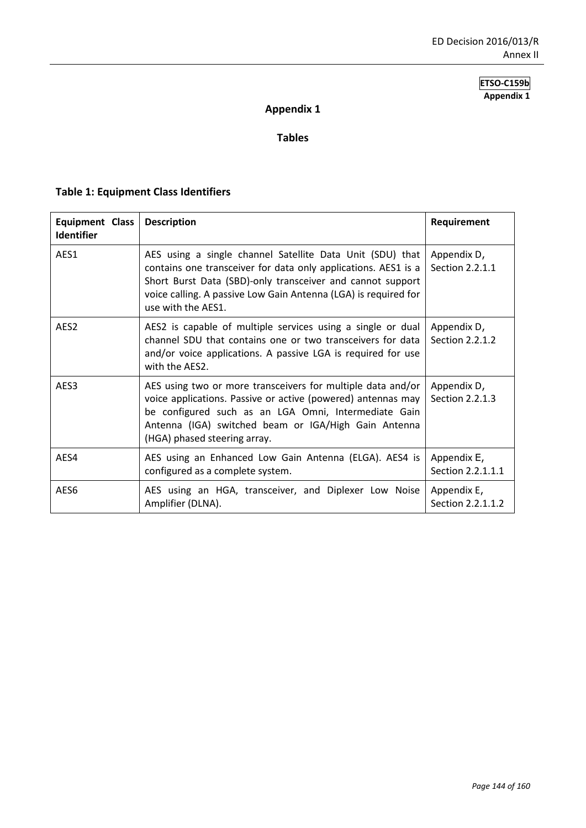## **ETSO-C159b Appendix 1**

# **Appendix 1**

## **Tables**

# **Table 1: Equipment Class Identifiers**

| <b>Equipment Class</b><br><b>Identifier</b> | <b>Description</b>                                                                                                                                                                                                                                                                 | Requirement                      |
|---------------------------------------------|------------------------------------------------------------------------------------------------------------------------------------------------------------------------------------------------------------------------------------------------------------------------------------|----------------------------------|
| AFS1                                        | AES using a single channel Satellite Data Unit (SDU) that<br>contains one transceiver for data only applications. AES1 is a<br>Short Burst Data (SBD)-only transceiver and cannot support<br>voice calling. A passive Low Gain Antenna (LGA) is required for<br>use with the AES1. | Appendix D,<br>Section 2.2.1.1   |
| AES <sub>2</sub>                            | AES2 is capable of multiple services using a single or dual<br>channel SDU that contains one or two transceivers for data<br>and/or voice applications. A passive LGA is required for use<br>with the AFS2.                                                                        | Appendix D,<br>Section 2.2.1.2   |
| AES3                                        | AES using two or more transceivers for multiple data and/or<br>voice applications. Passive or active (powered) antennas may<br>be configured such as an LGA Omni, Intermediate Gain<br>Antenna (IGA) switched beam or IGA/High Gain Antenna<br>(HGA) phased steering array.        | Appendix D,<br>Section 2.2.1.3   |
| AES4                                        | AES using an Enhanced Low Gain Antenna (ELGA). AES4 is<br>configured as a complete system.                                                                                                                                                                                         | Appendix E,<br>Section 2.2.1.1.1 |
| AES6                                        | AES using an HGA, transceiver, and Diplexer Low Noise<br>Amplifier (DLNA).                                                                                                                                                                                                         | Appendix E,<br>Section 2.2.1.1.2 |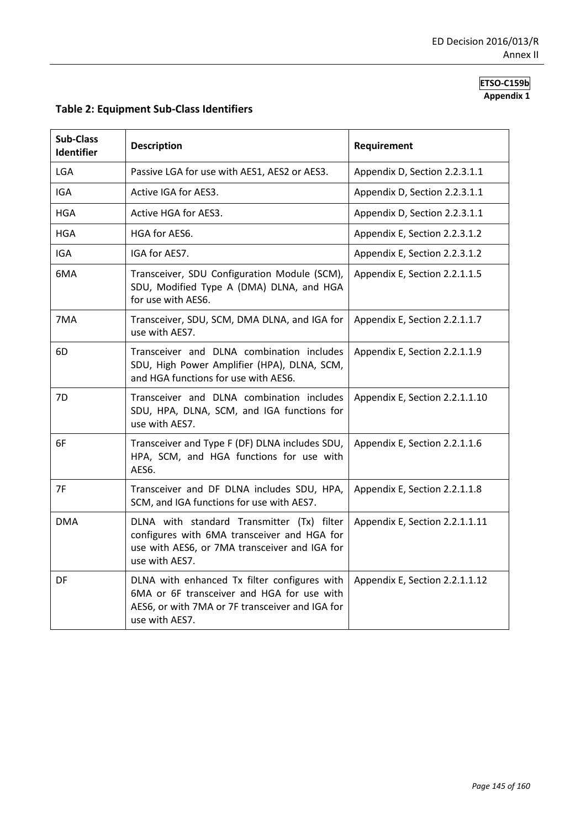## **ETSO-C159b Appendix 1**

| <b>Sub-Class</b><br>Identifier | <b>Description</b>                                                                                                                                              | Requirement                    |  |  |  |  |  |  |
|--------------------------------|-----------------------------------------------------------------------------------------------------------------------------------------------------------------|--------------------------------|--|--|--|--|--|--|
| <b>LGA</b>                     | Passive LGA for use with AES1, AES2 or AES3.                                                                                                                    | Appendix D, Section 2.2.3.1.1  |  |  |  |  |  |  |
| <b>IGA</b>                     | Active IGA for AES3.                                                                                                                                            | Appendix D, Section 2.2.3.1.1  |  |  |  |  |  |  |
| <b>HGA</b>                     | Active HGA for AES3.                                                                                                                                            | Appendix D, Section 2.2.3.1.1  |  |  |  |  |  |  |
| <b>HGA</b>                     | HGA for AES6.                                                                                                                                                   | Appendix E, Section 2.2.3.1.2  |  |  |  |  |  |  |
| IGA                            | IGA for AES7.                                                                                                                                                   | Appendix E, Section 2.2.3.1.2  |  |  |  |  |  |  |
| 6MA                            | Transceiver, SDU Configuration Module (SCM),<br>SDU, Modified Type A (DMA) DLNA, and HGA<br>for use with AES6.                                                  | Appendix E, Section 2.2.1.1.5  |  |  |  |  |  |  |
| 7MA                            | Transceiver, SDU, SCM, DMA DLNA, and IGA for<br>use with AES7.                                                                                                  | Appendix E, Section 2.2.1.1.7  |  |  |  |  |  |  |
| 6D                             | Transceiver and DLNA combination includes<br>SDU, High Power Amplifier (HPA), DLNA, SCM,<br>and HGA functions for use with AES6.                                | Appendix E, Section 2.2.1.1.9  |  |  |  |  |  |  |
| 7D                             | Transceiver and DLNA combination includes<br>SDU, HPA, DLNA, SCM, and IGA functions for<br>use with AES7.                                                       | Appendix E, Section 2.2.1.1.10 |  |  |  |  |  |  |
| 6F                             | Transceiver and Type F (DF) DLNA includes SDU,<br>HPA, SCM, and HGA functions for use with<br>AES6.                                                             | Appendix E, Section 2.2.1.1.6  |  |  |  |  |  |  |
| 7F                             | Transceiver and DF DLNA includes SDU, HPA,<br>SCM, and IGA functions for use with AES7.                                                                         | Appendix E, Section 2.2.1.1.8  |  |  |  |  |  |  |
| <b>DMA</b>                     | DLNA with standard Transmitter (Tx) filter<br>configures with 6MA transceiver and HGA for<br>use with AES6, or 7MA transceiver and IGA for<br>use with AES7.    | Appendix E, Section 2.2.1.1.11 |  |  |  |  |  |  |
| DF                             | DLNA with enhanced Tx filter configures with<br>6MA or 6F transceiver and HGA for use with<br>AES6, or with 7MA or 7F transceiver and IGA for<br>use with AES7. | Appendix E, Section 2.2.1.1.12 |  |  |  |  |  |  |

# **Table 2: Equipment Sub-Class Identifiers**